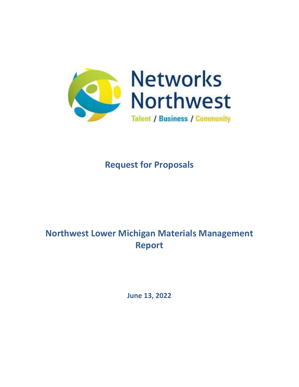

# **Request for Proposals**

# **Northwest Lower Michigan Materials Management Report**

**June 13, 2022**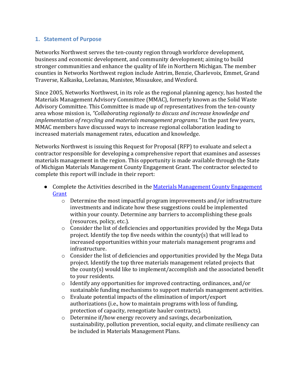#### **1. Statement of Purpose**

Networks Northwest serves the ten-county region through workforce development, business and economic development, and community development; aiming to build stronger communities and enhance the quality of life in Northern Michigan. The member counties in Networks Northwest region include Antrim, Benzie, Charlevoix, Emmet, Grand Traverse, Kalkaska, Leelanau, Manistee, Missaukee, and Wexford.

Since 2005, Networks Northwest, in its role as the regional planning agency, has hosted the Materials Management Advisory Committee (MMAC), formerly known as the Solid Waste Advisory Committee. This Committee is made up of representatives from the ten-county area whose mission is, *"Collaborating regionally to discuss and increase knowledge and implementation of recycling and materials management programs."* In the past few years, MMAC members have discussed ways to increase regional collaboration leading to increased materials management rates, education and knowledge.

Networks Northwest is issuing this Request for Proposal (RFP) to evaluate and select a contractor responsible for developing a comprehensive report that examines and assesses materials management in the region. This opportunity is made available through the State of Michigan Materials Management County Engagement Grant. The contractor selected to complete this report will include in their report:

- Complete the Activities described in the Materials Management County Engagement [Grant](https://www.michigan.gov/documents/egle/MMCE-Activities-Deliverables_738408_7.pdf)
	- $\circ$  Determine the most impactful program improvements and/or infrastructure investments and indicate how these suggestions could be implemented within your county. Determine any barriers to accomplishing these goals (resources, policy, etc.).
	- $\circ$  Consider the list of deficiencies and opportunities provided by the Mega Data project. Identify the top five needs within the county(s) that will lead to increased opportunities within your materials management programs and infrastructure.
	- $\circ$  Consider the list of deficiencies and opportunities provided by the Mega Data project. Identify the top three materials management related projects that the county(s) would like to implement/accomplish and the associated benefit to your residents.
	- o Identify any opportunities for improved contracting, ordinances, and/or sustainable funding mechanisms to support materials management activities.
	- o Evaluate potential impacts of the elimination of import/export authorizations (i.e., how to maintain programs with loss of funding, protection of capacity, renegotiate hauler contracts).
	- o Determine if/how energy recovery and savings, decarbonization, sustainability, pollution prevention, social equity, and climate resiliency can be included in Materials Management Plans.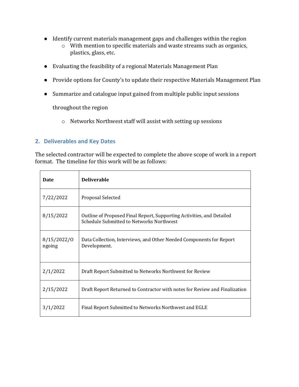- Identify current materials management gaps and challenges within the region
	- o With mention to specific materials and waste streams such as organics, plastics, glass, etc.
- Evaluating the feasibility of a regional Materials Management Plan
- Provide options for County's to update their respective Materials Management Plan
- Summarize and catalogue input gained from multiple public input sessions

throughout the region

o Networks Northwest staff will assist with setting up sessions

### **2. Deliverables and Key Dates**

The selected contractor will be expected to complete the above scope of work in a report format. The timeline for this work will be as follows:

| <b>Date</b>           | <b>Deliverable</b>                                                                                                |
|-----------------------|-------------------------------------------------------------------------------------------------------------------|
| 7/22/2022             | Proposal Selected                                                                                                 |
| 8/15/2022             | Outline of Proposed Final Report, Supporting Activities, and Detailed<br>Schedule Submitted to Networks Northwest |
| 8/15/2022/0<br>ngoing | Data Collection, Interviews, and Other Needed Components for Report<br>Development.                               |
| 2/1/2022              | Draft Report Submitted to Networks Northwest for Review                                                           |
| 2/15/2022             | Draft Report Returned to Contractor with notes for Review and Finalization                                        |
| 3/1/2022              | Final Report Submitted to Networks Northwest and EGLE                                                             |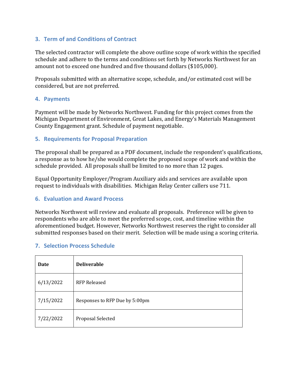### **3. Term of and Conditions of Contract**

The selected contractor will complete the above outline scope of work within the specified schedule and adhere to the terms and conditions set forth by Networks Northwest for an amount not to exceed one hundred and five thousand dollars (\$105,000).

Proposals submitted with an alternative scope, schedule, and/or estimated cost will be considered, but are not preferred.

#### **4. Payments**

Payment will be made by Networks Northwest. Funding for this project comes from the Michigan Department of Environment, Great Lakes, and Energy's Materials Management County Engagement grant. Schedule of payment negotiable.

#### **5. Requirements for Proposal Preparation**

The proposal shall be prepared as a PDF document, include the respondent's qualifications, a response as to how he/she would complete the proposed scope of work and within the schedule provided. All proposals shall be limited to no more than 12 pages.

Equal Opportunity Employer/Program Auxiliary aids and services are available upon request to individuals with disabilities. Michigan Relay Center callers use 711.

#### **6. Evaluation and Award Process**

Networks Northwest will review and evaluate all proposals. Preference will be given to respondents who are able to meet the preferred scope, cost, and timeline within the aforementioned budget. However, Networks Northwest reserves the right to consider all submitted responses based on their merit. Selection will be made using a scoring criteria.

#### **7. Selection Process Schedule**

| <b>Date</b> | <b>Deliverable</b>             |
|-------------|--------------------------------|
| 6/13/2022   | <b>RFP Released</b>            |
| 7/15/2022   | Responses to RFP Due by 5:00pm |
| 7/22/2022   | Proposal Selected              |